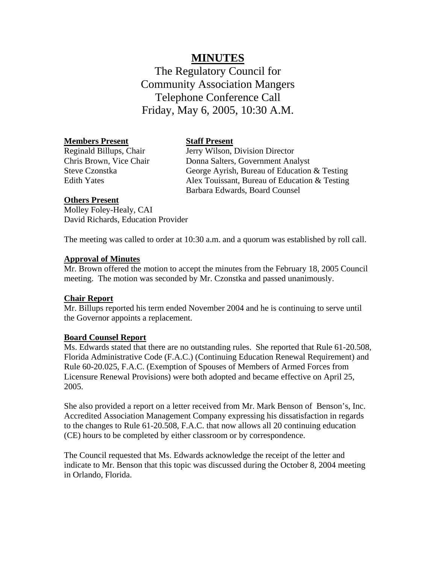# **MINUTES**

The Regulatory Council for Community Association Mangers Telephone Conference Call Friday, May 6, 2005, 10:30 A.M.

#### **Members Present**

Reginald Billups, Chair Chris Brown, Vice Chair Steve Czonstka Edith Yates

### **Staff Present**

Jerry Wilson, Division Director Donna Salters, Government Analyst George Ayrish, Bureau of Education & Testing Alex Touissant, Bureau of Education & Testing Barbara Edwards, Board Counsel

#### **Others Present**

Molley Foley-Healy, CAI David Richards, Education Provider

The meeting was called to order at 10:30 a.m. and a quorum was established by roll call.

#### **Approval of Minutes**

Mr. Brown offered the motion to accept the minutes from the February 18, 2005 Council meeting. The motion was seconded by Mr. Czonstka and passed unanimously.

#### **Chair Report**

Mr. Billups reported his term ended November 2004 and he is continuing to serve until the Governor appoints a replacement.

#### **Board Counsel Report**

Ms. Edwards stated that there are no outstanding rules. She reported that Rule 61-20.508, Florida Administrative Code (F.A.C.) (Continuing Education Renewal Requirement) and Rule 60-20.025, F.A.C. (Exemption of Spouses of Members of Armed Forces from Licensure Renewal Provisions) were both adopted and became effective on April 25, 2005.

She also provided a report on a letter received from Mr. Mark Benson of Benson's, Inc. Accredited Association Management Company expressing his dissatisfaction in regards to the changes to Rule 61-20.508, F.A.C. that now allows all 20 continuing education (CE) hours to be completed by either classroom or by correspondence.

The Council requested that Ms. Edwards acknowledge the receipt of the letter and indicate to Mr. Benson that this topic was discussed during the October 8, 2004 meeting in Orlando, Florida.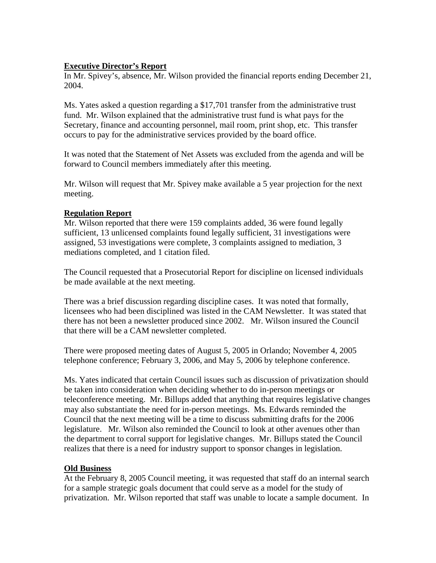## **Executive Director's Report**

In Mr. Spivey's, absence, Mr. Wilson provided the financial reports ending December 21, 2004.

Ms. Yates asked a question regarding a \$17,701 transfer from the administrative trust fund. Mr. Wilson explained that the administrative trust fund is what pays for the Secretary, finance and accounting personnel, mail room, print shop, etc. This transfer occurs to pay for the administrative services provided by the board office.

It was noted that the Statement of Net Assets was excluded from the agenda and will be forward to Council members immediately after this meeting.

Mr. Wilson will request that Mr. Spivey make available a 5 year projection for the next meeting.

### **Regulation Report**

Mr. Wilson reported that there were 159 complaints added, 36 were found legally sufficient, 13 unlicensed complaints found legally sufficient, 31 investigations were assigned, 53 investigations were complete, 3 complaints assigned to mediation, 3 mediations completed, and 1 citation filed.

The Council requested that a Prosecutorial Report for discipline on licensed individuals be made available at the next meeting.

There was a brief discussion regarding discipline cases. It was noted that formally, licensees who had been disciplined was listed in the CAM Newsletter. It was stated that there has not been a newsletter produced since 2002. Mr. Wilson insured the Council that there will be a CAM newsletter completed.

There were proposed meeting dates of August 5, 2005 in Orlando; November 4, 2005 telephone conference; February 3, 2006, and May 5, 2006 by telephone conference.

Ms. Yates indicated that certain Council issues such as discussion of privatization should be taken into consideration when deciding whether to do in-person meetings or teleconference meeting. Mr. Billups added that anything that requires legislative changes may also substantiate the need for in-person meetings. Ms. Edwards reminded the Council that the next meeting will be a time to discuss submitting drafts for the 2006 legislature. Mr. Wilson also reminded the Council to look at other avenues other than the department to corral support for legislative changes. Mr. Billups stated the Council realizes that there is a need for industry support to sponsor changes in legislation.

## **Old Business**

At the February 8, 2005 Council meeting, it was requested that staff do an internal search for a sample strategic goals document that could serve as a model for the study of privatization. Mr. Wilson reported that staff was unable to locate a sample document. In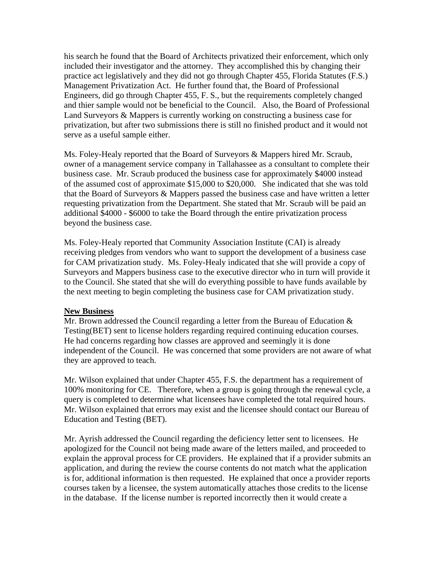his search he found that the Board of Architects privatized their enforcement, which only included their investigator and the attorney. They accomplished this by changing their practice act legislatively and they did not go through Chapter 455, Florida Statutes (F.S.) Management Privatization Act. He further found that, the Board of Professional Engineers, did go through Chapter 455, F. S., but the requirements completely changed and thier sample would not be beneficial to the Council. Also, the Board of Professional Land Surveyors & Mappers is currently working on constructing a business case for privatization, but after two submissions there is still no finished product and it would not serve as a useful sample either.

Ms. Foley-Healy reported that the Board of Surveyors & Mappers hired Mr. Scraub, owner of a management service company in Tallahassee as a consultant to complete their business case. Mr. Scraub produced the business case for approximately \$4000 instead of the assumed cost of approximate \$15,000 to \$20,000. She indicated that she was told that the Board of Surveyors & Mappers passed the business case and have written a letter requesting privatization from the Department. She stated that Mr. Scraub will be paid an additional \$4000 - \$6000 to take the Board through the entire privatization process beyond the business case.

Ms. Foley-Healy reported that Community Association Institute (CAI) is already receiving pledges from vendors who want to support the development of a business case for CAM privatization study. Ms. Foley-Healy indicated that she will provide a copy of Surveyors and Mappers business case to the executive director who in turn will provide it to the Council. She stated that she will do everything possible to have funds available by the next meeting to begin completing the business case for CAM privatization study.

#### **New Business**

Mr. Brown addressed the Council regarding a letter from the Bureau of Education  $\&$ Testing(BET) sent to license holders regarding required continuing education courses. He had concerns regarding how classes are approved and seemingly it is done independent of the Council. He was concerned that some providers are not aware of what they are approved to teach.

Mr. Wilson explained that under Chapter 455, F.S. the department has a requirement of 100% monitoring for CE. Therefore, when a group is going through the renewal cycle, a query is completed to determine what licensees have completed the total required hours. Mr. Wilson explained that errors may exist and the licensee should contact our Bureau of Education and Testing (BET).

Mr. Ayrish addressed the Council regarding the deficiency letter sent to licensees. He apologized for the Council not being made aware of the letters mailed, and proceeded to explain the approval process for CE providers. He explained that if a provider submits an application, and during the review the course contents do not match what the application is for, additional information is then requested. He explained that once a provider reports courses taken by a licensee, the system automatically attaches those credits to the license in the database. If the license number is reported incorrectly then it would create a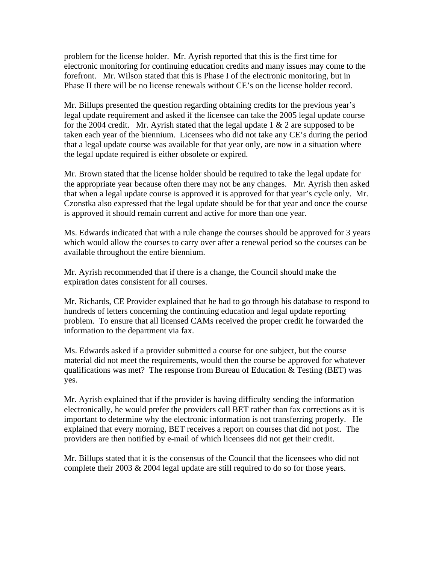problem for the license holder. Mr. Ayrish reported that this is the first time for electronic monitoring for continuing education credits and many issues may come to the forefront. Mr. Wilson stated that this is Phase I of the electronic monitoring, but in Phase II there will be no license renewals without CE's on the license holder record.

Mr. Billups presented the question regarding obtaining credits for the previous year's legal update requirement and asked if the licensee can take the 2005 legal update course for the 2004 credit. Mr. Ayrish stated that the legal update  $1 \& 2$  are supposed to be taken each year of the biennium. Licensees who did not take any CE's during the period that a legal update course was available for that year only, are now in a situation where the legal update required is either obsolete or expired.

Mr. Brown stated that the license holder should be required to take the legal update for the appropriate year because often there may not be any changes. Mr. Ayrish then asked that when a legal update course is approved it is approved for that year's cycle only. Mr. Czonstka also expressed that the legal update should be for that year and once the course is approved it should remain current and active for more than one year.

Ms. Edwards indicated that with a rule change the courses should be approved for 3 years which would allow the courses to carry over after a renewal period so the courses can be available throughout the entire biennium.

Mr. Ayrish recommended that if there is a change, the Council should make the expiration dates consistent for all courses.

Mr. Richards, CE Provider explained that he had to go through his database to respond to hundreds of letters concerning the continuing education and legal update reporting problem. To ensure that all licensed CAMs received the proper credit he forwarded the information to the department via fax.

Ms. Edwards asked if a provider submitted a course for one subject, but the course material did not meet the requirements, would then the course be approved for whatever qualifications was met? The response from Bureau of Education  $\&$  Testing (BET) was yes.

Mr. Ayrish explained that if the provider is having difficulty sending the information electronically, he would prefer the providers call BET rather than fax corrections as it is important to determine why the electronic information is not transferring properly. He explained that every morning, BET receives a report on courses that did not post. The providers are then notified by e-mail of which licensees did not get their credit.

Mr. Billups stated that it is the consensus of the Council that the licensees who did not complete their 2003  $& 2004$  legal update are still required to do so for those years.